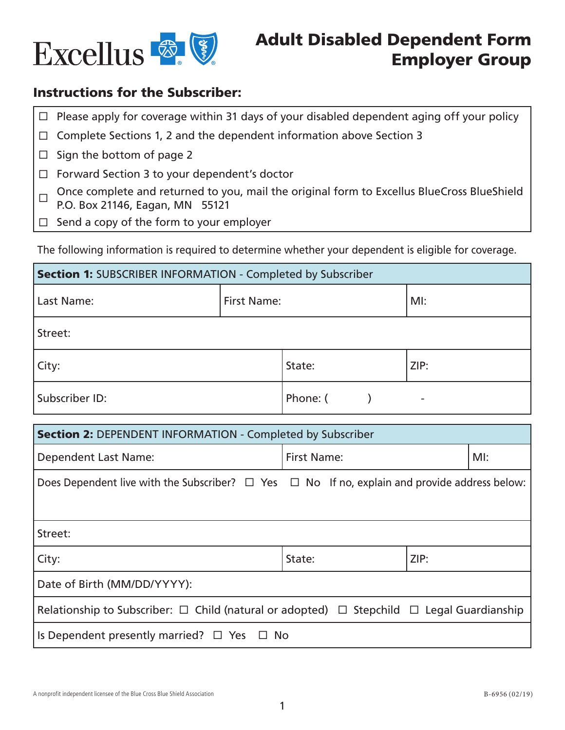

## Instructions for the Subscriber:

 $\Box$  Please apply for coverage within 31 days of your disabled dependent aging off your policy

- $\Box$  Complete Sections 1, 2 and the dependent information above Section 3
- $\Box$  Sign the bottom of page 2
- $\Box$  Forward Section 3 to your dependent's doctor
- Once complete and returned to you, mail the original form to Excellus BlueCross BlueShield P.O. Box 21146, Eagan, MN 55121
- $\Box$  Send a copy of the form to your employer

The following information is required to determine whether your dependent is eligible for coverage.

| <b>Section 1: SUBSCRIBER INFORMATION - Completed by Subscriber</b> |                    |          |                          |  |  |  |
|--------------------------------------------------------------------|--------------------|----------|--------------------------|--|--|--|
| Last Name:                                                         | <b>First Name:</b> |          | $M!$ :                   |  |  |  |
| Street:                                                            |                    |          |                          |  |  |  |
| City:                                                              |                    | State:   | ZIP:                     |  |  |  |
| Subscriber ID:                                                     |                    | Phone: ( | $\overline{\phantom{a}}$ |  |  |  |

| <b>Section 2: DEPENDENT INFORMATION - Completed by Subscriber</b>                                        |                           |  |  |  |  |  |
|----------------------------------------------------------------------------------------------------------|---------------------------|--|--|--|--|--|
| <b>Dependent Last Name:</b>                                                                              | <b>First Name:</b><br>MI: |  |  |  |  |  |
| Does Dependent live with the Subscriber? $\Box$ Yes $\Box$ No If no, explain and provide address below:  |                           |  |  |  |  |  |
| Street:                                                                                                  |                           |  |  |  |  |  |
| City:                                                                                                    | ZIP:<br>State:            |  |  |  |  |  |
| Date of Birth (MM/DD/YYYY):                                                                              |                           |  |  |  |  |  |
| Relationship to Subscriber: $\Box$ Child (natural or adopted) $\Box$ Stepchild $\Box$ Legal Guardianship |                           |  |  |  |  |  |
| Is Dependent presently married? $\Box$ Yes $\Box$ No                                                     |                           |  |  |  |  |  |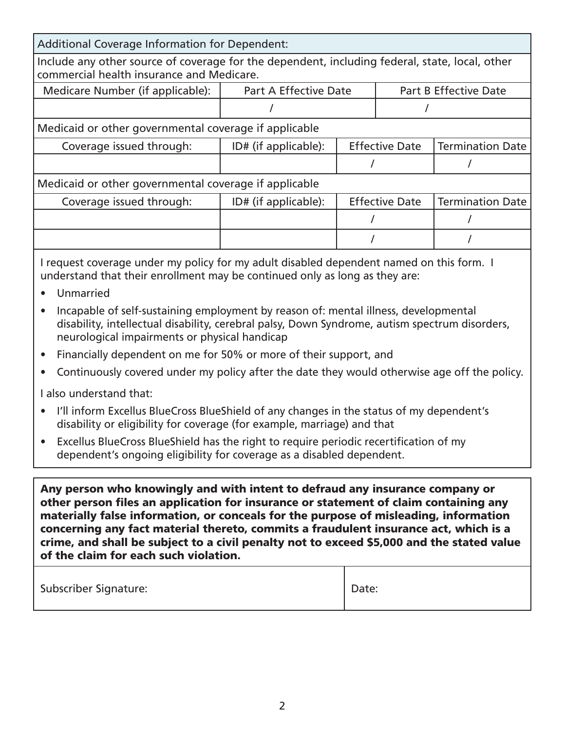| <b>Additional Coverage Information for Dependent:</b>                                                                                       |                                                              |                       |                       |                         |  |  |  |
|---------------------------------------------------------------------------------------------------------------------------------------------|--------------------------------------------------------------|-----------------------|-----------------------|-------------------------|--|--|--|
| Include any other source of coverage for the dependent, including federal, state, local, other<br>commercial health insurance and Medicare. |                                                              |                       |                       |                         |  |  |  |
| Medicare Number (if applicable):                                                                                                            | <b>Part A Effective Date</b><br><b>Part B Effective Date</b> |                       |                       |                         |  |  |  |
|                                                                                                                                             |                                                              |                       |                       |                         |  |  |  |
| Medicaid or other governmental coverage if applicable                                                                                       |                                                              |                       |                       |                         |  |  |  |
| Coverage issued through:                                                                                                                    | ID# (if applicable):                                         |                       | <b>Effective Date</b> | <b>Termination Date</b> |  |  |  |
|                                                                                                                                             |                                                              |                       |                       |                         |  |  |  |
| Medicaid or other governmental coverage if applicable                                                                                       |                                                              |                       |                       |                         |  |  |  |
| Coverage issued through:                                                                                                                    | ID# (if applicable):                                         | <b>Effective Date</b> |                       | <b>Termination Date</b> |  |  |  |
|                                                                                                                                             |                                                              |                       |                       |                         |  |  |  |
|                                                                                                                                             |                                                              |                       |                       |                         |  |  |  |
| I request coverage under my policy for my adult disabled dependent named on this form. I                                                    |                                                              |                       |                       |                         |  |  |  |

understand that their enrollment may be continued only as long as they are:

- Unmarried
- Incapable of self-sustaining employment by reason of: mental illness, developmental disability, intellectual disability, cerebral palsy, Down Syndrome, autism spectrum disorders, neurological impairments or physical handicap
- Financially dependent on me for 50% or more of their support, and
- Continuously covered under my policy after the date they would otherwise age off the policy.

I also understand that:

- I'll inform Excellus BlueCross BlueShield of any changes in the status of my dependent's disability or eligibility for coverage (for example, marriage) and that
- Excellus BlueCross BlueShield has the right to require periodic recertification of my dependent's ongoing eligibility for coverage as a disabled dependent.

Any person who knowingly and with intent to defraud any insurance company or other person files an application for insurance or statement of claim containing any materially false information, or conceals for the purpose of misleading, information concerning any fact material thereto, commits a fraudulent insurance act, which is a crime, and shall be subject to a civil penalty not to exceed \$5,000 and the stated value of the claim for each such violation.

| <b>Subscriber Signature:</b> | Date: |
|------------------------------|-------|
|                              |       |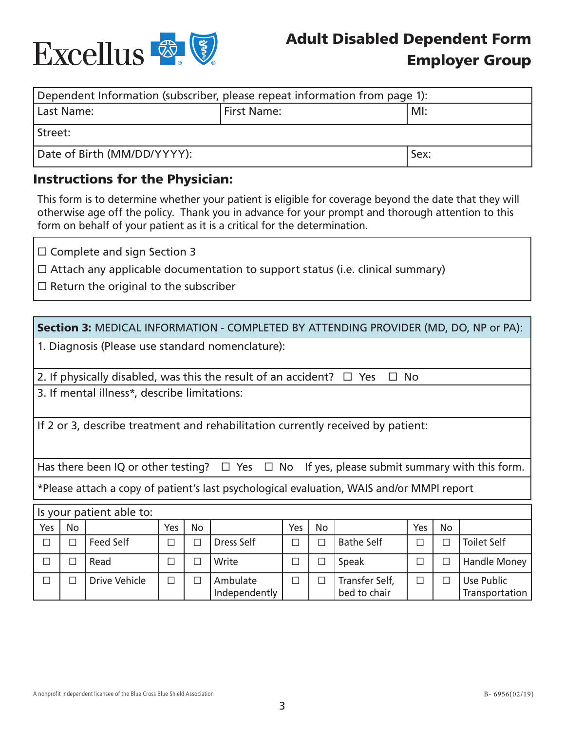

## Adult Disabled Dependent Form Employer Group

| Dependent Information (subscriber, please repeat information from page 1): |                    |  |  |  |  |
|----------------------------------------------------------------------------|--------------------|--|--|--|--|
| Last Name:                                                                 | MI:<br>First Name: |  |  |  |  |
| l Street:                                                                  |                    |  |  |  |  |
| Date of Birth (MM/DD/YYYY):<br>Sex:                                        |                    |  |  |  |  |

## Instructions for the Physician:

This form is to determine whether your patient is eligible for coverage beyond the date that they will otherwise age off the policy. Thank you in advance for your prompt and thorough attention to this form on behalf of your patient as it is a critical for the determination.

□ Complete and sign Section 3

 $\Box$  Attach any applicable documentation to support status (i.e. clinical summary)

 $\square$  Return the original to the subscriber

| <b>Section 3: MEDICAL INFORMATION - COMPLETED BY ATTENDING PROVIDER (MD, DO, NP or PA):</b>            |                                                  |                                              |        |           |                                                                           |        |           |                                                                                 |        |           |                              |
|--------------------------------------------------------------------------------------------------------|--------------------------------------------------|----------------------------------------------|--------|-----------|---------------------------------------------------------------------------|--------|-----------|---------------------------------------------------------------------------------|--------|-----------|------------------------------|
|                                                                                                        | 1. Diagnosis (Please use standard nomenclature): |                                              |        |           |                                                                           |        |           |                                                                                 |        |           |                              |
|                                                                                                        |                                                  |                                              |        |           | 2. If physically disabled, was this the result of an accident? $\Box$ Yes |        |           | $\Box$ No                                                                       |        |           |                              |
|                                                                                                        |                                                  | 3. If mental illness*, describe limitations: |        |           |                                                                           |        |           |                                                                                 |        |           |                              |
|                                                                                                        |                                                  |                                              |        |           |                                                                           |        |           |                                                                                 |        |           |                              |
|                                                                                                        |                                                  |                                              |        |           |                                                                           |        |           | If 2 or 3, describe treatment and rehabilitation currently received by patient: |        |           |                              |
|                                                                                                        |                                                  |                                              |        |           |                                                                           |        |           |                                                                                 |        |           |                              |
| Has there been IQ or other testing? $\Box$ Yes $\Box$ No If yes, please submit summary with this form. |                                                  |                                              |        |           |                                                                           |        |           |                                                                                 |        |           |                              |
| *Please attach a copy of patient's last psychological evaluation, WAIS and/or MMPI report              |                                                  |                                              |        |           |                                                                           |        |           |                                                                                 |        |           |                              |
| Is your patient able to:                                                                               |                                                  |                                              |        |           |                                                                           |        |           |                                                                                 |        |           |                              |
| Yes                                                                                                    | No                                               |                                              | Yes    | <b>No</b> |                                                                           | Yes    | <b>No</b> |                                                                                 | Yes    | <b>No</b> |                              |
| □                                                                                                      | □                                                | Feed Self                                    | □      | □         | Dress Self                                                                | □      | □         | <b>Bathe Self</b>                                                               | $\Box$ | $\Box$    | <b>Toilet Self</b>           |
| $\Box$                                                                                                 | $\Box$                                           | Read                                         | □      | □         | Write                                                                     | $\Box$ | □         | Speak                                                                           | $\Box$ | $\Box$    | Handle Money                 |
| $\Box$                                                                                                 | $\Box$                                           | Drive Vehicle                                | $\Box$ | П         | Ambulate<br>Independently                                                 | $\Box$ | $\Box$    | Transfer Self,<br>bed to chair                                                  | $\Box$ | $\Box$    | Use Public<br>Transportation |